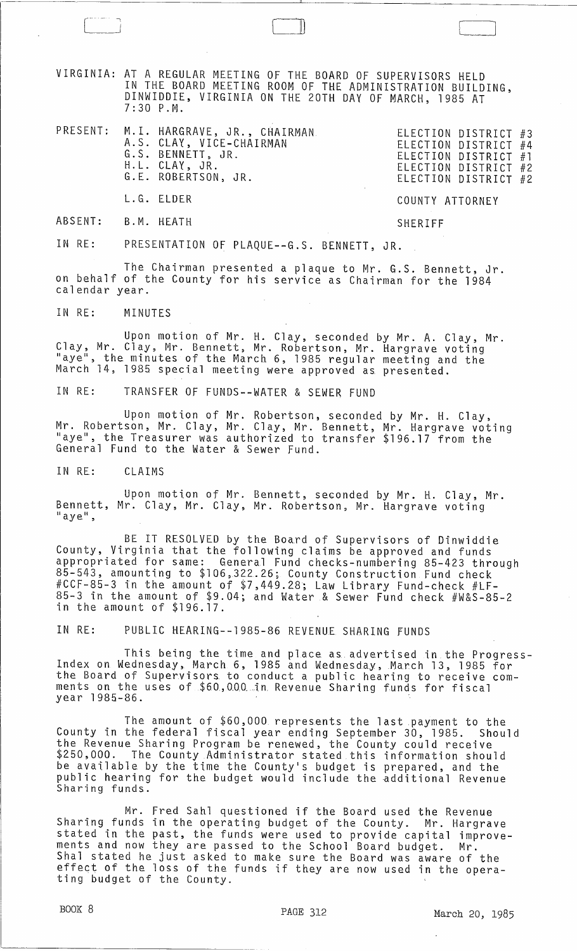VIRGINIA: AT A REGULAR MEETING OF THE BOARD OF SUPERVISORS HELD IN THE BOARD MEETING ROOM OF THE ADMINISTRATION BUILDING, DINWIDDIE, VIRGINIA ON THE 20TH DAY OF MARCH, 1985 AT 7:30 P.M.

|  | PRESENT: M.I. HARGRAVE, JR., CHAIRMAN<br>A.S. CLAY, VICE-CHAIRMAN<br>G.S. BENNETT, JR.<br>H.L. CLAY, JR.<br>G.E. ROBERTSON, JR. | ELECTION DISTRICT #3<br>ELECTION DISTRICT #4<br>ELECTION DISTRICT #1<br>ELECTION DISTRICT #2<br>ELECTION DISTRICT #2 |
|--|---------------------------------------------------------------------------------------------------------------------------------|----------------------------------------------------------------------------------------------------------------------|
|  | L.G. ELDER                                                                                                                      | COUNTY ATTORNEY                                                                                                      |

ABSENT: B.M. HEATH SHERIFF

LJ

IN RE: PRESENTATION OF PLAQUE--G.S. BENNETT, JR.

The Chairman presented a plaque to Mr. G.S. Bennett, Jr. on behalf of the County for his service as Chairman for the 1984 calendar year.

IN RE: MINUTES

Upon motion of Mr. H. Clay, seconded by Mr. A. Clay, Mr. Clay, Mr. Clay, Mr. Bennett, Mr. Robertson, Mr. Hargrave voting<br>"aye", the minutes of the March 6, 1985 regular meeting and the March 14, 1985 special meeting were approved as presented.

IN RE: TRANSFER OF FUNDS--WATER & SEWER FUND

Upon motion of Mr. Robertson, seconded by Mr. H. Clay, Mr. Robertson, Mr. Clay, Mr. Clay, Mr. Bennett, Mr. Hargrave *voting*  "aye", the Treasurer was authorized to transfer \$196.17 from the General Fund to the Water & Sewer Fund.

IN RE: CLAIMS

Upon motion of Mr. Bennett, seconded by Mr. H. Clay, Mr. Bennett, Mr. Clay, Mr. Clay, Mr. Robertson, Mr. Hargrave voting  $"$  aye",

BE IT RESOLVED by the Board of Supervisors of Dinwiddie County, Virginia that the following claims be approved and funds appropriated for same: General Fund checks-numbering 85-423 through 85-543, amounting to \$106,322.26; County Construction Fund check #CCF-85-3 in the amount of \$7,449.28~ Law Library Fund-check #LF-85-3 in the amount of \$9.04; and Water & Sewer Fund check #W&S-85-2 in the amount of \$196.17.

IN RE: PUBLIC HEARING--1985-86 REVENUE SHARING FUNDS

This being the time and place as advertised in the Progress- Index on Wednesday, March 6, 1985 and Wednesday, March 13,1985 for the Board of Supervisors to conduct a public hearing to receive comments on the uses of \$60,000 in Revenue Sharing funds for fiscal year 1985-86. .

The amount of \$60,000 represents the last payment to the County in the federal fiscal year ending September 30, 1985. Should the Revenue Sharing Program be renewed, the County could receive \$250,000. The County Administrator stated this information should be available by the time the County's budget is prepared, and the public hearing for the budget would include the additional Revenue Sharing funds.

Mr. Fred Sahl questioned if the Board used the Revenue Sharing funds in the operating budget of the County. Mr. Hargrave stated in the past, the funds were used to provide capital improvements and now they are passed to the School Board budget. Mr. Sha1 stated he just asked to make sure the Board was aware of the effect of the loss of the funds if they are now used in the opera- ting budget of the County.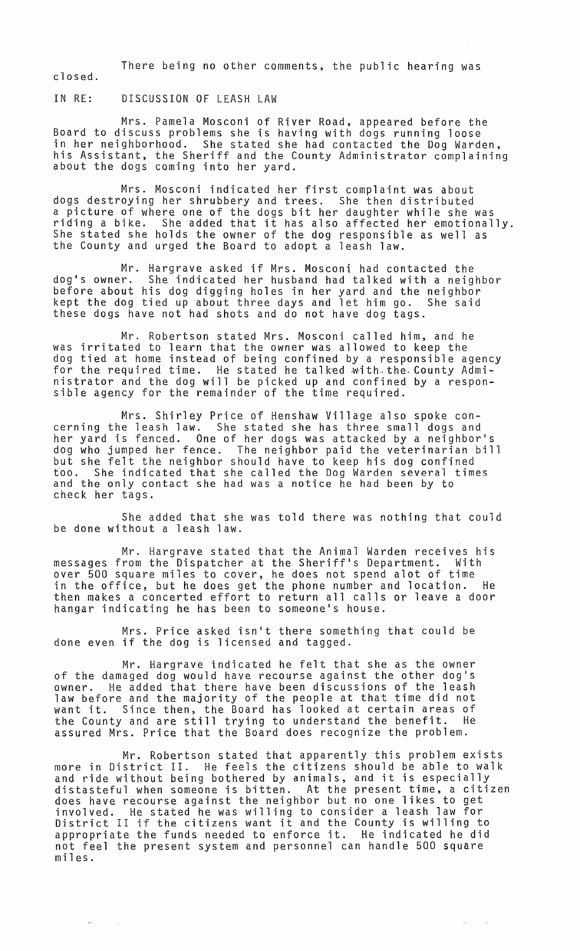There being no other comments, the public hearing was closed.

IN RE: DISCUSSION OF LEASH LAW

Mrs. Pamela Mosconi of River Road, appeared before the Board to discuss problems she is having with dogs running loose in her neighborhood. She stated she had contacted the Dog Warden, his Assistant, the Sheriff and the County Administrator complaining<br>about the dogs coming into her yard.

Mrs. Mosconi indicated her first complaint was about dogs destroying her shrubbery and trees. She then distributed a picture of where one of the dogs bit her daughter while she was a picture of where one of the dogs bit her daughter while she was<br>riding a bike. She added that it has also affected her emotionally. She stated she holds the owner of the dog responsible as well as the County and urged the Board to adopt a leash law.

Mr. Hargrave asked if Mrs. Mosconi had contacted the dog's owner. She indicated her husband had talked with a neighbor before about his dog digging holes in her yard and the neighbor kept the dog tied up about three days and let him go. She said these dogs have not had shots and do not have dog tags.

Mr. Robertson stated Mrs. Mosconi called him, and he was irritated to learn that the owner was allowed to keep the dog tied at home instead of being confined by a responsible agency for the required time. He stated he talked with the County Administrator and the dog will be picked up and confined by a responsible agency for the remainder of the time required.

Mrs. Shirley Price of Henshaw Village also spoke concerning the leash law. She stated she has three small dogs and her yard is fenced. One of her dogs was attacked by a neighbor's dog who jumped her fence. The neighbor paid the veterinarian bill but she felt the neighbor should have to keep his dog confined too. She indicated that she called the Dog Warden several times and the only contact she had was a notice he had been by to check her tags.

She added that she was told there was nothing that could be done without a leash law.

Mr. Hargrave stated that the Animal Warden receives his<br>rom the Dispatcher at the Sheriff's Department. With messages from the Dispatcher at the Sheriff's Department. over 500 square miles to cover, he does not spend alot of time in the office, but he does get the phone number and location. He then makes a concerted effort to return all calls or leave a door hangar indicating he has been to someone's house.

Mrs. Price asked isn't there something that could be done even if the dog is licensed and tagged.

Mr. Hargrave indicated he felt that she as the owner of the damaged dog would have recourse against the other dog's<br>owner. He added that there have been discussions of the leash He added that there have been discussions of the leash law before and the majority of the people at that time did not want it. Since then, the Board has looked at certain areas of want it. Since them, the Board has rooked at certain areas or<br>the County and are still trying to understand the benefit. He assured Mrs. Price that the Board does recognize the problem.

Mr. Robertson stated that apparently this problem exists more in District II. He feels the citizens should be able to walk more in bistrict II. He leets the citizens should be able to wall distasteful when someone is bitten. At the present time, a citizen does have recourse against the neighbor but no one likes to get involved. He stated he was willing to consider a leash law for invoived. He stated he was willing to consider a leash law for<br>District II if the citizens want it and the County is willing to appropriate the funds needed to enforce it. He indicated he did not feel the present system and personnel can handle 500 square miles.

 $\sim$   $_{\rm 20}$ 

 $\Delta\omega_{\rm{eff}}$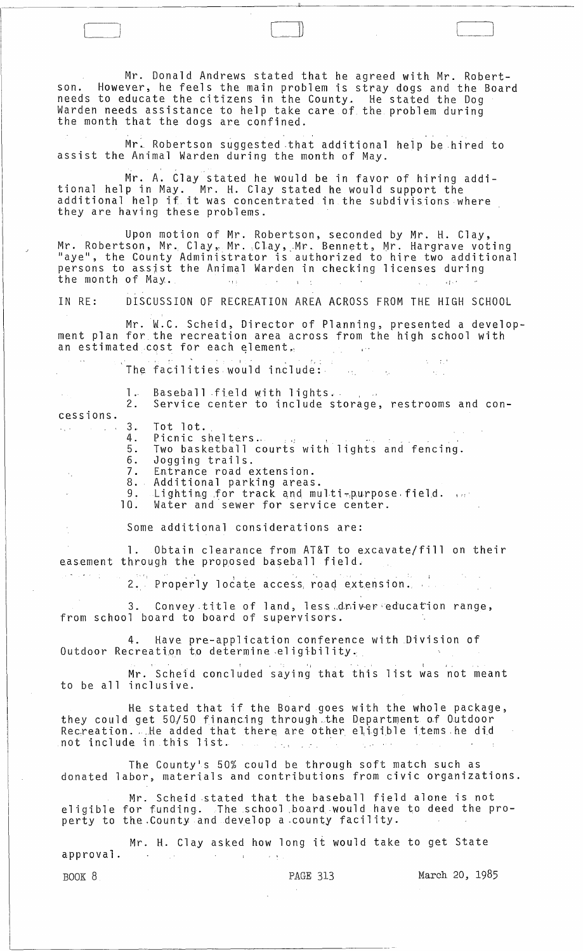Mr. Donald Andrews stated that he agreed with Mr. Robertson. However, he feels the main problem is stray dogs and the Board needs to educate the citizens in the County. He stated the Dog Warden needs assistance to help take care of the problem during<br>the month that the dogs are confined.

Mr. Robertson suggested that additional help be hired to assist the Animal Warden during the month of May.

Mr. A. Clay stated he would be in favor of hiring additional help in May. Mr. H. Clay stated he would support the additional help if it was concentrated in the subdivisions where they are having these problems.

Upon motion of Mr. Robertson, seconded by Mr. H. Clay, Mr. Robertson, Mr. Clay, Mr. Clay, Mr. Bennett, Mr. Hargrave voting<br>"aye", the County Administrator is authorized to hire two additional persons to assjst the Animal Warden in checking licenses during the month of May.  $\frac{1}{2}$  is  $\frac{1}{2}$  if  $\frac{1}{2}$  is  $\frac{1}{2}$  if  $\frac{1}{2}$ 

IN RE: DISCUSSION OF RECREATION AREA ACROSS FROM THE HIGH SCHOOL

Mr. W.C. Scheid, Director of Planning, presented a development plan for the recreation area across from the high school with an estimated cost for each element,

> $35 - 10$ The facilities would include:  $\sim 10^{-1}$

| $\mathcal{A}^{\mathcal{A}}$ and $\mathcal{A}^{\mathcal{A}}$ | 1. Baseball field with lights.<br>2. Service center to include storage, restrooms and con-                                                                                                                                                                                                           |
|-------------------------------------------------------------|------------------------------------------------------------------------------------------------------------------------------------------------------------------------------------------------------------------------------------------------------------------------------------------------------|
| cessions.                                                   |                                                                                                                                                                                                                                                                                                      |
|                                                             | $\ldots$ $\ldots$ $\ldots$ 3. Tot lot.<br>4. Picnic shelters.<br>5. Two basketball courts with lights and fencing.<br>6. Jogging trails.<br>7. Entrance road extension.<br>8. Additional parking areas.<br>9. Lighting for track and multi-purpose field.<br>10. Water and sewer for service center. |
|                                                             |                                                                                                                                                                                                                                                                                                      |

Some additional considerations are:

1. Obtain clearance from AT&T to excavate/fill on their easement through the proposed baseball field.

2. Properly locate access, road extension.

3. Convey title of land, less driver education range, from school board to board of supervisors.

4. Have pre-application conference with Division of Outdoor Recreation to determine eligibility. lication conference with Divisio<br>Anine eligibility.<br>Ided saving that this list was n

Mr. Scheid concluded saying that this list was not meant to be all inclusive.

He stated that if the Board goes with the whole package, they could get 50/50 financing through the Department of Outdoor Recreation. He added that there are other eligible items he did not include in this list. .

The County·s 50% could be through soft match such as donated labor, materials and contributions from civic organizations.

Mr. Scheid .stated that the baseball field alone is not eligible for funding. The school .board·would have to deed the property to the County and develop a county facility.

Mr. H. Clay asked how long it would take to get State approval. and the company  $\mathcal{O}(\mathcal{F})$  and  $\mathcal{O}(\mathcal{O})$  $\mathcal{L} = \mathcal{L} \times \mathcal{R}$ 

 $\mathbb{E}[\sigma]$  is  $\mathbb{E}[\sigma]$  .

BOOK 8 **PAGE 313** March 20, 1985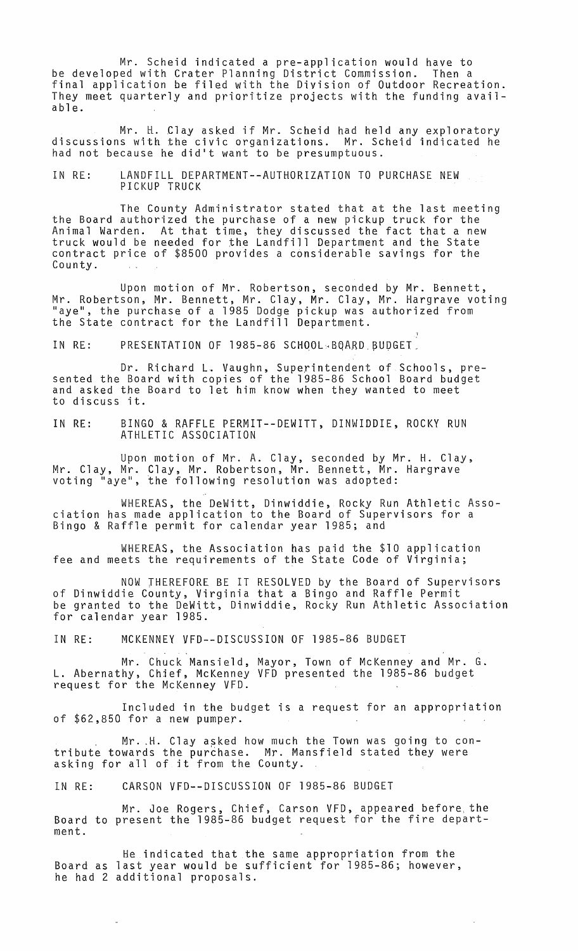Mr. Scheid indicated a pre-application would have to be developed with Crater Planning District Commission. Then a final application be filed with the Division of Outdoor Recreation. They meet quarterly and prioritize projects with the funding available.

Mr. H. Clay asked if Mr. Scheid had held any exploratory discussions with the civic organizations. Mr. Scheid indicated he had not because he did't want to be presumptuous.

IN RE: LANDFILL DEPARTMENT--AUTHORIZATION TO PURCHASE NEW PICKUP TRUCK

The County Administrator stated that at the last meeting the Board authorized the purchase of a new pickup truck for the Animal Warden. At that time, they discussed the fact that a new truck would be needed for the Landfill Department and the State contract price of \$8500 provides a considerable savings for the County.

Upon motion of Mr. Robertson, seconded by Mr. Bennett, Mr. Robertson, Mr. Bennett, Mr. Clay, Mr. Clay, Mr. Hargrave voting<br>"aye", the purchase of a 1985 Dodge pickup was authorized from the State contract for the Landfill Department.

1

IN RE: PRESENTATION OF 1985-86 SCHOOL~BQARD BUDGET.

Dr. Richard L. Vaughn, Superintendent of Schools, pre-<br>sented the Board with copies of the 1985-86 School Board budget<br>and asked the Board to let him know when they wanted to meet to discuss it.

IN RE: BINGO & RAFFLE PERMIT--DEWITT, DINWIDDIE, ROCKY RUN ATHLETIC ASSOCIATION

Upon motion of Mr. A. Clay, seconded by Mr. H. Clay, Mr. Clay, Mr. Clay, Mr. Robertson, Mr. Bennett, Mr. Hargrave voting "aye", the following resolution was adopted:

WHEREAS, the DeWitt, Dinwiddie, Rocky Run Athletic Association has made application to the Board of Supervisors for a Bingo & Raffle permit for calendar year 1985; and

WHEREAS, the Association has paid the \$10 application fee and meets the requirements of the State Code of Virginia;

NOW THEREFORE BE IT RESOLVED by the Board of Supervisors of Dinwiddie County, Virginia that a Bingo and Raffle Permit be granted to the DeWitt, Dinwiddie, Rocky Run Athletic Association for calendar year 1985.

IN RE: MCKENNEY VFD--DISCUSSION OF 1985-86 BUDGET

Mr. Chuck Mansield, Mayor, Town of McKenney and Mr. G. L. Abernathy, Chief, McKenney VFD presented the 1985-86 budget request for the McKenney VFD.

Included in the budget is a request for an appropriation of \$62,850 for a new pumper.

. Mr .. H. Clay asked how much the Town was going to contribute towards the purchase. Mr. Mansfield stated they were asking for all of jt from the County.

IN RE: CARSON VFD--DISCUSSION OF 1985-86 BUDGET

Mr. Joe Rogers, Chief, Carson VFD, appeared before, the Board to present the 1985-86 budget request for the fire department.

He indicated that the same appropriation from the Board as last year would be sufficient for 1985-86; however, he had 2 additional proposals.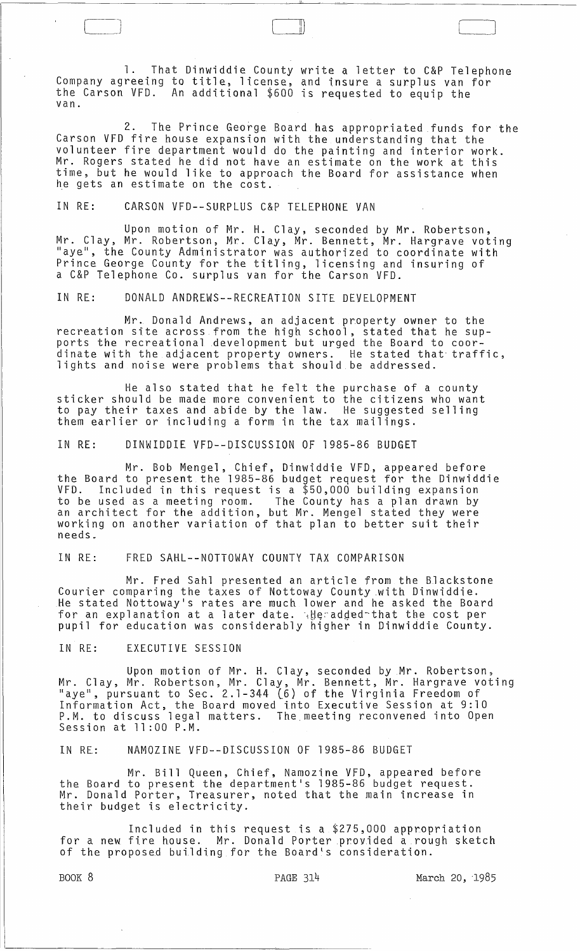1. That Dinwiddie County write a letter to C&P Telephone Company agreeing to title, license, and insure a surplus van for the Carson VFD. An additional \$600 is requested to equip the van.

 $\Box$ 

2. The Prince George Board has appropriated funds for the Carson VFD fire house expansion with the understanding that the volunteer fire department would do the painting and interior work. Mr. Rogers stated he did not have an estimate on the work at this time, but he would like to approach the Board for assistance when he gets an estimate on the cost.

## IN RE: CARSON VFD--SURPLUS C&P TELEPHONE VAN

Upon motion of Mr. H. Clay, seconded by Mr. Robertson, Mr. Clay, Mr. Robertson, Mr. Clay, Mr. Bennett, Mr. Hargrave voting "aye", the County Administrator was authorized to coordinate with Prince George County for the titling, licensing and insuring of a C&P Telephone Co. surplus van for the Carson VFD.

IN RE: DONALD ANDREWS--RECREATION SITE DEVELOPMENT

Mr. Donald Andrews, an adjacent property owner to the recreation site across from the high school, stated that he supports the recreational development but urged the Board to coordinate with the adjacent property owners. He stated that traffic, lights and noise were problems that should be addressed.

He also stated that he felt the purchase of a county sticker should be made more convenient to the citizens who want to pay their taxes and abide by the law. He suggested selling them earlier or including a form in the tax mailings.

IN RE: DINWIDDIE VFD--DISCUSSION OF 1985-86 BUDGET

Mr. Bob Mengel, Chief, Dinwiddie VFD, appeared before the Board to present the 1985-86 budget request for the Dinwiddie VFD. Included in this request is a  $$50,000$  building expansion to be used as a meeting room. The County has a plan drawn by an architect for the addition, but Mr. Mengel stated they were working on another variation of that plan to better suit their needs ..

## IN RE: FRED SAHL--NOTTOWAY COUNTY TAX COMPARISON

Mr. Fred Sahl presented an article from the Blackstone Courier comparing the taxes of Nottoway County .with Dinwiddie. He stated Nottoway's rates are much lower and he asked the Board for an explanation at a later date. 4 the added-that the cost per pupil for education was considerably higher in Dinwiddie County.

IN RE: EXECUTIVE SESSION

Upon motion of Mr. H. Clay, seconded by Mr. Robertson, Mr. Clay, Mr. Robertson, Mr. Clay, Mr. Bennett, Mr. Hargrave voting "aye", pursuant to Sec. 2.1-344 (6) of the Virginia Freedom of Information Act, the Board moved into Executive Session at 9:10 P.M. to discuss legal matters. The meeting reconvened into Open Session at 11:00 P.M.

IN RE: NAMOZINE VFD--DISCUSSION OF 1985-86 BUDGET

Mr. Bill Queen, Chief, Namozine VFD, appeared before the Board to present the department's 1985-86 budget request. Mr. Donald Porter, Treasurer, noted that the main increase in their budget is electricity.

Included in this request is a \$275,000 appropriation for a new fire house. Mr. Donald PorterproYided a rough sketch of the proposed building for the Board's consideration.

BOOK 8 **PAGE 314** March 20, 1985